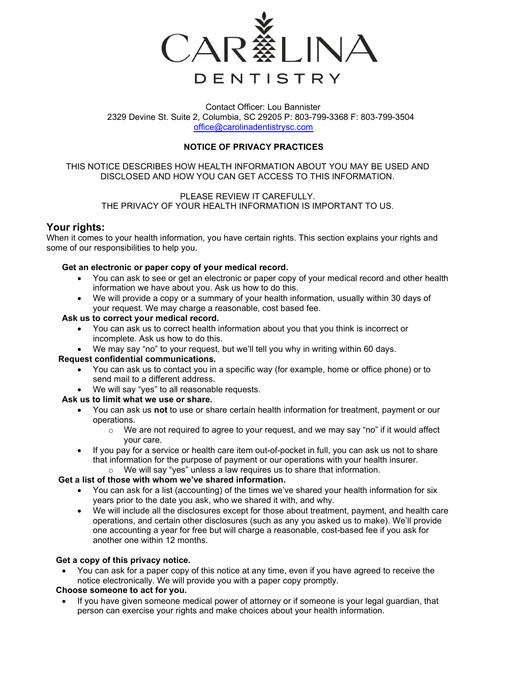

 Contact Officer: Lou Bannister 2329 Devine St. Suite 2, Columbia, SC 29205 P: 803-799-3368 F: 803-799-3504 office@carolinadentistrysc.com

#### NOTICE OF PRIVACY PRACTICES

#### THIS NOTICE DESCRIBES HOW HEALTH INFORMATION ABOUT YOU MAY BE USED AND DISCLOSED AND HOW YOU CAN GET ACCESS TO THIS INFORMATION.

#### PLEASE REVIEW IT CAREFULLY. THE PRIVACY OF YOUR HEALTH INFORMATION IS IMPORTANT TO US.

### Your rights:

When it comes to your health information, you have certain rights. This section explains your rights and some of our responsibilities to help you.

#### Get an electronic or paper copy of your medical record.

- You can ask to see or get an electronic or paper copy of your medical record and other health information we have about you. Ask us how to do this.
- We will provide a copy or a summary of your health information, usually within 30 days of your request. We may charge a reasonable, cost based fee.

#### Ask us to correct your medical record.

- You can ask us to correct health information about you that you think is incorrect or incomplete. Ask us how to do this.
- We may say "no" to your request, but we'll tell you why in writing within 60 days.

#### Request confidential communications.

- You can ask us to contact you in a specific way (for example, home or office phone) or to send mail to a different address.
- We will say "yes" to all reasonable requests.

### Ask us to limit what we use or share.

- You can ask us not to use or share certain health information for treatment, payment or our operations.
	- $\circ$  We are not required to agree to your request, and we may say "no" if it would affect your care.
- If you pay for a service or health care item out-of-pocket in full, you can ask us not to share that information for the purpose of payment or our operations with your health insurer. o We will say "yes" unless a law requires us to share that information.

# Get a list of those with whom we've shared information.

- You can ask for a list (accounting) of the times we've shared your health information for six years prior to the date you ask, who we shared it with, and why.
- We will include all the disclosures except for those about treatment, payment, and health care operations, and certain other disclosures (such as any you asked us to make). We'll provide one accounting a year for free but will charge a reasonable, cost-based fee if you ask for another one within 12 months.

#### Get a copy of this privacy notice.

 You can ask for a paper copy of this notice at any time, even if you have agreed to receive the notice electronically. We will provide you with a paper copy promptly.

#### Choose someone to act for you.

 If you have given someone medical power of attorney or if someone is your legal guardian, that person can exercise your rights and make choices about your health information.